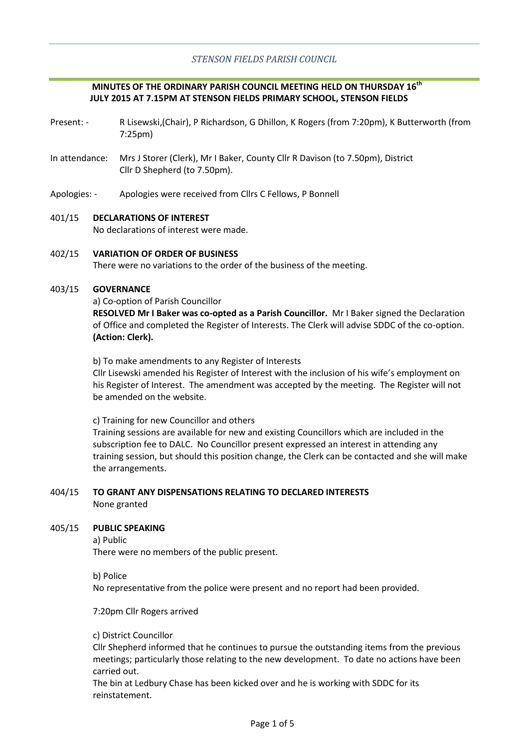# **MINUTES OF THE ORDINARY PARISH COUNCIL MEETING HELD ON THURSDAY 16th JULY 2015 AT 7.15PM AT STENSON FIELDS PRIMARY SCHOOL, STENSON FIELDS**

- Present: R Lisewski,(Chair), P Richardson, G Dhillon, K Rogers (from 7:20pm), K Butterworth (from 7:25pm)
- In attendance: Mrs J Storer (Clerk), Mr I Baker, County Cllr R Davison (to 7.50pm), District Cllr D Shepherd (to 7.50pm).
- Apologies: Apologies were received from Cllrs C Fellows, P Bonnell

# 401/15 **DECLARATIONS OF INTEREST**

No declarations of interest were made.

#### 402/15 **VARIATION OF ORDER OF BUSINESS**

There were no variations to the order of the business of the meeting.

#### 403/15 **GOVERNANCE**

a) Co-option of Parish Councillor

**RESOLVED Mr I Baker was co-opted as a Parish Councillor.** Mr I Baker signed the Declaration of Office and completed the Register of Interests. The Clerk will advise SDDC of the co-option. **(Action: Clerk).**

b) To make amendments to any Register of Interests

Cllr Lisewski amended his Register of Interest with the inclusion of his wife's employment on his Register of Interest. The amendment was accepted by the meeting. The Register will not be amended on the website.

c) Training for new Councillor and others

Training sessions are available for new and existing Councillors which are included in the subscription fee to DALC. No Councillor present expressed an interest in attending any training session, but should this position change, the Clerk can be contacted and she will make the arrangements.

### 404/15 **TO GRANT ANY DISPENSATIONS RELATING TO DECLARED INTERESTS** None granted

#### 405/15 **PUBLIC SPEAKING**

a) Public

There were no members of the public present.

### b) Police

No representative from the police were present and no report had been provided.

7:20pm Cllr Rogers arrived

c) District Councillor

Cllr Shepherd informed that he continues to pursue the outstanding items from the previous meetings; particularly those relating to the new development. To date no actions have been carried out.

The bin at Ledbury Chase has been kicked over and he is working with SDDC for its reinstatement.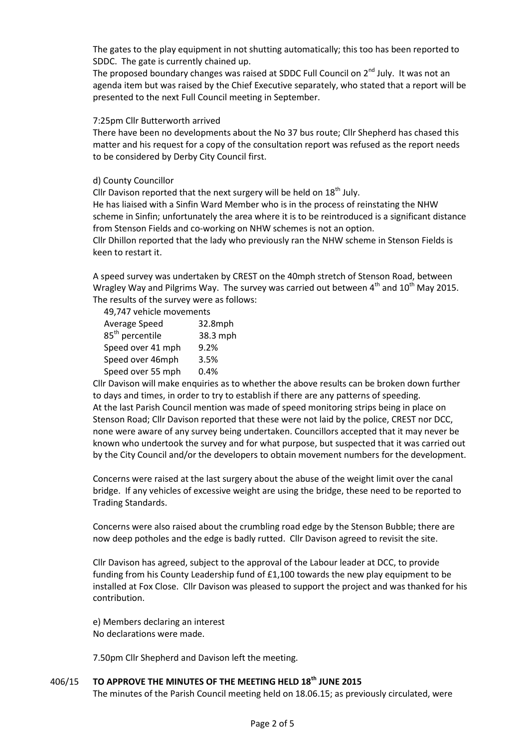The gates to the play equipment in not shutting automatically; this too has been reported to SDDC. The gate is currently chained up.

The proposed boundary changes was raised at SDDC Full Council on  $2^{nd}$  July. It was not an agenda item but was raised by the Chief Executive separately, who stated that a report will be presented to the next Full Council meeting in September.

### 7:25pm Cllr Butterworth arrived

There have been no developments about the No 37 bus route; Cllr Shepherd has chased this matter and his request for a copy of the consultation report was refused as the report needs to be considered by Derby City Council first.

## d) County Councillor

Cllr Davison reported that the next surgery will be held on  $18<sup>th</sup>$  July.

He has liaised with a Sinfin Ward Member who is in the process of reinstating the NHW scheme in Sinfin; unfortunately the area where it is to be reintroduced is a significant distance from Stenson Fields and co-working on NHW schemes is not an option.

Cllr Dhillon reported that the lady who previously ran the NHW scheme in Stenson Fields is keen to restart it.

A speed survey was undertaken by CREST on the 40mph stretch of Stenson Road, between Wragley Way and Pilgrims Way. The survey was carried out between  $4<sup>th</sup>$  and  $10<sup>th</sup>$  May 2015. The results of the survey were as follows:

|                             | 49,747 vehicle movements |  |  |
|-----------------------------|--------------------------|--|--|
| Average Speed               | 32.8mph                  |  |  |
| 85 <sup>th</sup> percentile | 38.3 mph                 |  |  |
| Speed over 41 mph           | 9.2%                     |  |  |
| Speed over 46mph            | 3.5%                     |  |  |
| Speed over 55 mph           | 0.4%                     |  |  |
|                             |                          |  |  |

Cllr Davison will make enquiries as to whether the above results can be broken down further to days and times, in order to try to establish if there are any patterns of speeding. At the last Parish Council mention was made of speed monitoring strips being in place on Stenson Road; Cllr Davison reported that these were not laid by the police, CREST nor DCC, none were aware of any survey being undertaken. Councillors accepted that it may never be known who undertook the survey and for what purpose, but suspected that it was carried out by the City Council and/or the developers to obtain movement numbers for the development.

Concerns were raised at the last surgery about the abuse of the weight limit over the canal bridge. If any vehicles of excessive weight are using the bridge, these need to be reported to Trading Standards.

Concerns were also raised about the crumbling road edge by the Stenson Bubble; there are now deep potholes and the edge is badly rutted. Cllr Davison agreed to revisit the site.

Cllr Davison has agreed, subject to the approval of the Labour leader at DCC, to provide funding from his County Leadership fund of £1,100 towards the new play equipment to be installed at Fox Close. Cllr Davison was pleased to support the project and was thanked for his contribution.

e) Members declaring an interest No declarations were made.

7.50pm Cllr Shepherd and Davison left the meeting.

#### 406/15 **TO APPROVE THE MINUTES OF THE MEETING HELD 18th JUNE 2015**

The minutes of the Parish Council meeting held on 18.06.15; as previously circulated, were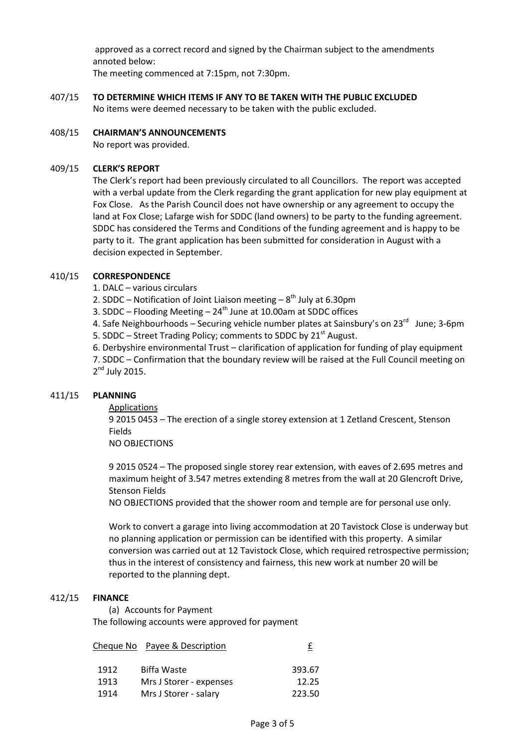approved as a correct record and signed by the Chairman subject to the amendments annoted below:

The meeting commenced at 7:15pm, not 7:30pm.

- 407/15 **TO DETERMINE WHICH ITEMS IF ANY TO BE TAKEN WITH THE PUBLIC EXCLUDED** No items were deemed necessary to be taken with the public excluded.
- 408/15 **CHAIRMAN'S ANNOUNCEMENTS** No report was provided.

#### 409/15 **CLERK'S REPORT**

The Clerk's report had been previously circulated to all Councillors. The report was accepted with a verbal update from the Clerk regarding the grant application for new play equipment at Fox Close. As the Parish Council does not have ownership or any agreement to occupy the land at Fox Close; Lafarge wish for SDDC (land owners) to be party to the funding agreement. SDDC has considered the Terms and Conditions of the funding agreement and is happy to be party to it. The grant application has been submitted for consideration in August with a decision expected in September.

#### 410/15 **CORRESPONDENCE**

- 1. DALC various circulars
- 2. SDDC Notification of Joint Liaison meeting  $-8^{th}$  July at 6.30pm
- 3. SDDC Flooding Meeting  $24^{th}$  June at 10.00am at SDDC offices

4. Safe Neighbourhoods – Securing vehicle number plates at Sainsbury's on 23<sup>rd</sup> June; 3-6pm 5. SDDC – Street Trading Policy; comments to SDDC by  $21<sup>st</sup>$  August.

6. Derbyshire environmental Trust – clarification of application for funding of play equipment 7. SDDC – Confirmation that the boundary review will be raised at the Full Council meeting on 2<sup>nd</sup> July 2015.

#### 411/15 **PLANNING**

Applications

9 2015 0453 – The erection of a single storey extension at 1 Zetland Crescent, Stenson Fields

NO OBJECTIONS

9 2015 0524 – The proposed single storey rear extension, with eaves of 2.695 metres and maximum height of 3.547 metres extending 8 metres from the wall at 20 Glencroft Drive, Stenson Fields

NO OBJECTIONS provided that the shower room and temple are for personal use only.

Work to convert a garage into living accommodation at 20 Tavistock Close is underway but no planning application or permission can be identified with this property. A similar conversion was carried out at 12 Tavistock Close, which required retrospective permission; thus in the interest of consistency and fairness, this new work at number 20 will be reported to the planning dept.

#### 412/15 **FINANCE**

(a) Accounts for Payment The following accounts were approved for payment

|      | Cheque No Payee & Description |        |
|------|-------------------------------|--------|
|      |                               |        |
| 1912 | Biffa Waste                   | 393.67 |
| 1913 | Mrs J Storer - expenses       | 12.25  |
| 1914 | Mrs J Storer - salary         | 223.50 |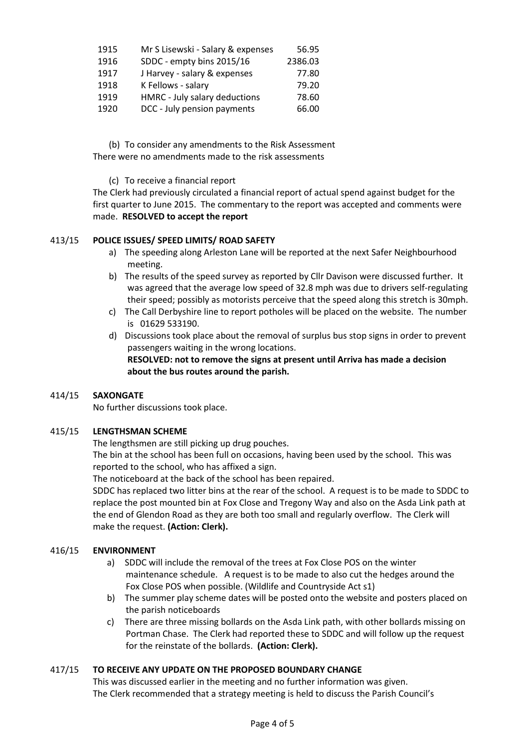| 1915 | Mr S Lisewski - Salary & expenses | 56.95   |
|------|-----------------------------------|---------|
| 1916 | SDDC - empty bins 2015/16         | 2386.03 |
| 1917 | J Harvey - salary & expenses      | 77.80   |
| 1918 | K Fellows - salary                | 79.20   |
| 1919 | HMRC - July salary deductions     | 78.60   |
| 1920 | DCC - July pension payments       | 66.00   |

(b) To consider any amendments to the Risk Assessment There were no amendments made to the risk assessments

(c) To receive a financial report

The Clerk had previously circulated a financial report of actual spend against budget for the first quarter to June 2015. The commentary to the report was accepted and comments were made. **RESOLVED to accept the report**

#### 413/15 **POLICE ISSUES/ SPEED LIMITS/ ROAD SAFETY**

- a) The speeding along Arleston Lane will be reported at the next Safer Neighbourhood meeting.
- b) The results of the speed survey as reported by Cllr Davison were discussed further. It was agreed that the average low speed of 32.8 mph was due to drivers self-regulating their speed; possibly as motorists perceive that the speed along this stretch is 30mph.
- c) The Call Derbyshire line to report potholes will be placed on the website. The number is 01629 533190.
- d) Discussions took place about the removal of surplus bus stop signs in order to prevent passengers waiting in the wrong locations. **RESOLVED: not to remove the signs at present until Arriva has made a decision about the bus routes around the parish.**

#### 414/15 **SAXONGATE**

No further discussions took place.

#### 415/15 **LENGTHSMAN SCHEME**

The lengthsmen are still picking up drug pouches.

The bin at the school has been full on occasions, having been used by the school. This was reported to the school, who has affixed a sign.

The noticeboard at the back of the school has been repaired.

SDDC has replaced two litter bins at the rear of the school. A request is to be made to SDDC to replace the post mounted bin at Fox Close and Tregony Way and also on the Asda Link path at the end of Glendon Road as they are both too small and regularly overflow. The Clerk will make the request. **(Action: Clerk).**

#### 416/15 **ENVIRONMENT**

- a) SDDC will include the removal of the trees at Fox Close POS on the winter maintenance schedule. A request is to be made to also cut the hedges around the Fox Close POS when possible. (Wildlife and Countryside Act s1)
- b) The summer play scheme dates will be posted onto the website and posters placed on the parish noticeboards
- c) There are three missing bollards on the Asda Link path, with other bollards missing on Portman Chase. The Clerk had reported these to SDDC and will follow up the request for the reinstate of the bollards. **(Action: Clerk).**

#### 417/15 **TO RECEIVE ANY UPDATE ON THE PROPOSED BOUNDARY CHANGE**

This was discussed earlier in the meeting and no further information was given. The Clerk recommended that a strategy meeting is held to discuss the Parish Council's